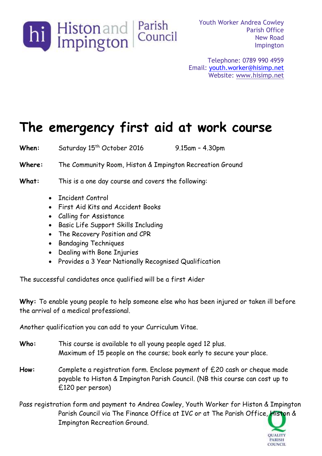

Youth Worker Andrea Cowley Parish Office New Road Impington

Telephone: 0789 990 4959 Email: [youth.worker@hisimp.net](mailto:youth.worker@hisimp.net) Website: [www.hisimp.net](http://www.hisimp.net/)

## **The emergency first aid at work course**

When: Saturday 15<sup>th</sup> October 2016 9.15am - 4.30pm

**Where:** The Community Room, Histon & Impington Recreation Ground

**What:** This is a one day course and covers the following:

- Incident Control
- First Aid Kits and Accident Books
- Calling for Assistance
- Basic Life Support Skills Including
- The Recovery Position and CPR
- **•** Bandaging Techniques
- Dealing with Bone Injuries
- Provides a 3 Year Nationally Recognised Qualification

The successful candidates once qualified will be a first Aider

**Why:** To enable young people to help someone else who has been injured or taken ill before the arrival of a medical professional.

Another qualification you can add to your Curriculum Vitae.

- **Who:** This course is available to all young people aged 12 plus. Maximum of 15 people on the course; book early to secure your place.
- **How:** Complete a registration form. Enclose payment of £20 cash or cheque made payable to Histon & Impington Parish Council. (NB this course can cost up to £120 per person)
- Pass registration form and payment to Andrea Cowley, Youth Worker for Histon & Impington Parish Council via The Finance Office at IVC or at The Parish Office, Histon & Impington Recreation Ground.